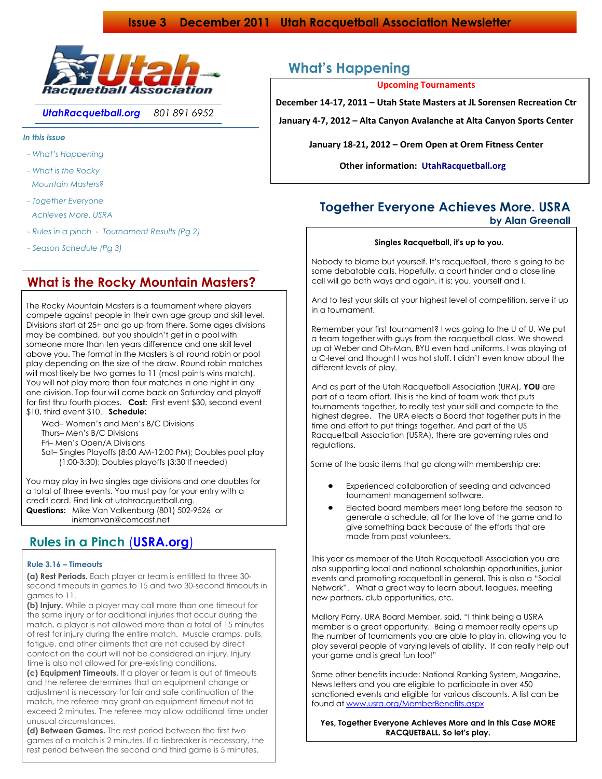

*UtahRacquetball.org 801 891 6952*

*In this issue*

- *- What's Happening*
- *- What is the Rocky Mountain Masters?*
- *- Together Everyone Achieves More. USRA*
- *- Rules in a pinch Tournament Results (Pg 2)*
- *- Season Schedule (Pg 3)*

### **What is the Rocky Mountain Masters?**

 The Rocky Mountain Masters is a tournament where players compete against people in their own age group and skill level. Divisions start at 25+ and go up from there. Some ages divisions may be combined, but you shouldn't get in a pool with someone more than ten years difference and one skill level above you. The format in the Masters is all round robin or pool play depending on the size of the draw. Round robin matches will most likely be two games to 11 (most points wins match). You will not play more than four matches in one night in any one division. Top four will come back on Saturday and playoff for first thru fourth places. **Cost:** First event \$30, second event \$10, third event \$10. **Schedule:**

- Wed– Women's and Men's B/C Divisions Thurs– Men's B/C Divisions Fri– Men's Open/A Divisions Sat– Singles Playoffs (8:00 AM-12:00 PM); Doubles pool play (1:00-3:30); Doubles playoffs (3:30 If needed)
- You may play in two singles age divisions and one doubles for a total of three events. You must pay for your entry with a

 credit card. Find link at utahracquetball.org. **Questions:** Mike Van Valkenburg (801) 502-9526 or inkmanvan@comcast.net

## **Rules in a Pinch** (**USRA.org**)

### **Rule 3.16 – Timeouts**

 **(a) Rest Periods.** Each player or team is entitled to three 30 second timeouts in games to 15 and two 30-second timeouts in games to 11.

 **(b) Injury.** While a player may call more than one timeout for the same injury or for additional injuries that occur during the match, a player is not allowed more than a total of 15 minutes of rest for injury during the entire match. Muscle cramps, pulls, fatigue, and other ailments that are not caused by direct contact on the court will not be considered an injury. Injury time is also not allowed for pre-existing conditions.

 **(c) Equipment Timeouts.** If a player or team is out of timeouts and the referee determines that an equipment change or adjustment is necessary for fair and safe continuation of the match, the referee may grant an equipment timeout not to exceed 2 minutes. The referee may allow additional time under unusual circumstances.

 **(d) Between Games.** The rest period between the first two games of a match is 2 minutes. If a tiebreaker is necessary, the rest period between the second and third game is 5 minutes.

## **What's Happening**

**Upcoming Tournaments**

**December 14-17, 2011 – Utah State Masters at JL Sorensen Recreation Ctr**

**January 4-7, 2012 – Alta Canyon Avalanche at Alta Canyon Sports Center** 

**January 18-21, 2012 – Orem Open at Orem Fitness Center**

**Other information: UtahRacquetball.org** 

### **Together Everyone Achieves More. USRA by Alan Greenall**

### **Singles Racquetball, it's up to you.**

 Nobody to blame but yourself. It's racquetball, there is going to be some debatable calls. Hopefully, a court hinder and a close line call will go both ways and again, it is: you, yourself and I.

 And to test your skills at your highest level of competition, serve it up in a tournament.

 Remember your first tournament? I was going to the U of U. We put a team together with guys from the racquetball class. We showed up at Weber and Oh-Man, BYU even had uniforms. I was playing at a C-level and thought I was hot stuff. I didn't even know about the different levels of play.

 And as part of the Utah Racquetball Association (URA), **YOU** are part of a team effort. This is the kind of team work that puts tournaments together, to really test your skill and compete to the highest degree. The URA elects a Board that together puts in the time and effort to put things together. And part of the US Racquetball Association (USRA), there are governing rules and regulations.

Some of the basic items that go along with membership are:

- Experienced collaboration of seeding and advanced tournament management software.
- Elected board members meet long before the season to generate a schedule, all for the love of the game and to give something back because of the efforts that are made from past volunteers.

 This year as member of the Utah Racquetball Association you are also supporting local and national scholarship opportunities, junior events and promoting racquetball in general. This is also a "Social Network". What a great way to learn about, leagues, meeting new partners, club opportunities, etc.

 Mallory Parry, URA Board Member, said, "I think being a USRA member is a great opportunity. Being a member really opens up the number of tournaments you are able to play in, allowing you to play several people of varying levels of ability. It can really help out your game and is great fun too!"

 Some other benefits include: National Ranking System, Magazine, News letters and you are eligible to participate in over 450 sanctioned events and eligible for various discounts. A list can be found a[t www.usra.org/MemberBenefits.aspx](http://www.usra.org/MemberBenefits.aspx)

**Yes, Together Everyone Achieves More and in this Case MORE RACQUETBALL. So let's play.**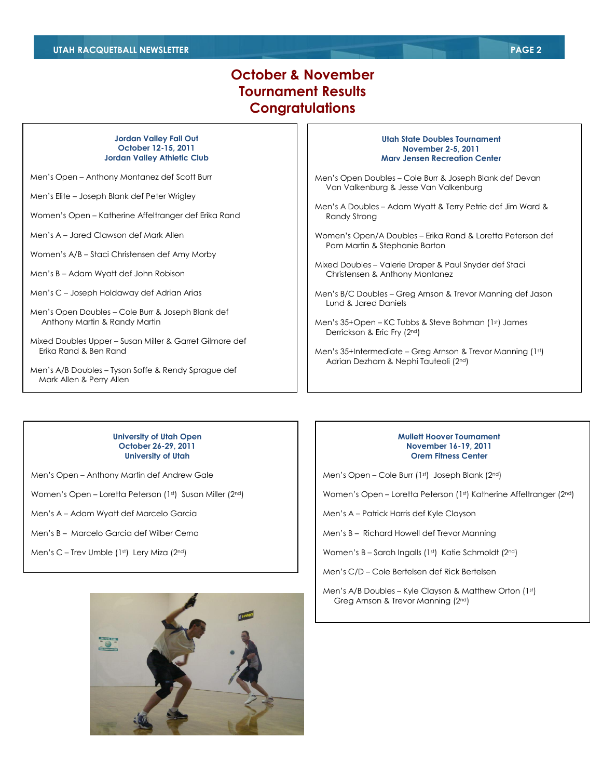## **October & November Tournament Results Congratulations**

#### **Jordan Valley Fall Out October 12-15, 2011 Jordan Valley Athletic Club**

Men's Open – Anthony Montanez def Scott Burr

Men's Elite – Joseph Blank def Peter Wrigley

Women's Open – Katherine Affeltranger def Erika Rand

Men's A – Jared Clawson def Mark Allen

Women's A/B – Staci Christensen def Amy Morby

- Men's B Adam Wyatt def John Robison
- Men's C Joseph Holdaway def Adrian Arias
- Men's Open Doubles Cole Burr & Joseph Blank def Anthony Martin & Randy Martin
- Mixed Doubles Upper Susan Miller & Garret Gilmore def Erika Rand & Ben Rand
- Men's A/B Doubles Tyson Soffe & Rendy Sprague def Mark Allen & Perry Allen

#### **Utah State Doubles Tournament November 2-5, 2011 Marv Jensen Recreation Center**

Men's Open Doubles – Cole Burr & Joseph Blank def Devan Van Valkenburg & Jesse Van Valkenburg

- Men's A Doubles Adam Wyatt & Terry Petrie def Jim Ward & Randy Strong
- Women's Open/A Doubles Erika Rand & Loretta Peterson def Pam Martin & Stephanie Barton
- Mixed Doubles Valerie Draper & Paul Snyder def Staci Christensen & Anthony Montanez
- Men's B/C Doubles Greg Arnson & Trevor Manning def Jason Lund & Jared Daniels
- Men's 35+Open KC Tubbs & Steve Bohman (1st) James Derrickson & Eric Fry (2nd)
- Men's 35+Intermediate Greg Arnson & Trevor Manning (1st) Adrian Dezham & Nephi Tauteoli (2nd)

#### **University of Utah Open October 26-29, 2011 University of Utah**

Men's Open – Anthony Martin def Andrew Gale

Women's Open – Loretta Peterson (1st) Susan Miller (2nd)

Men's A – Adam Wyatt def Marcelo Garcia

Men's B – Marcelo Garcia def Wilber Cerna

Men's C - Trev Umble (1st) Lery Miza (2nd)

#### **Mullett Hoover Tournament November 16-19, 2011 Orem Fitness Center**

Men's Open – Cole Burr (1st) Joseph Blank (2nd)

Women's Open – Loretta Peterson (1st) Katherine Affeltranger (2nd)

Men's A – Patrick Harris def Kyle Clayson

Men's B – Richard Howell def Trevor Manning

Women's B - Sarah Ingalls (1st) Katie Schmoldt (2nd)

Men's C/D – Cole Bertelsen def Rick Bertelsen

Men's A/B Doubles – Kyle Clayson & Matthew Orton (1st) Greg Arnson & Trevor Manning (2nd)